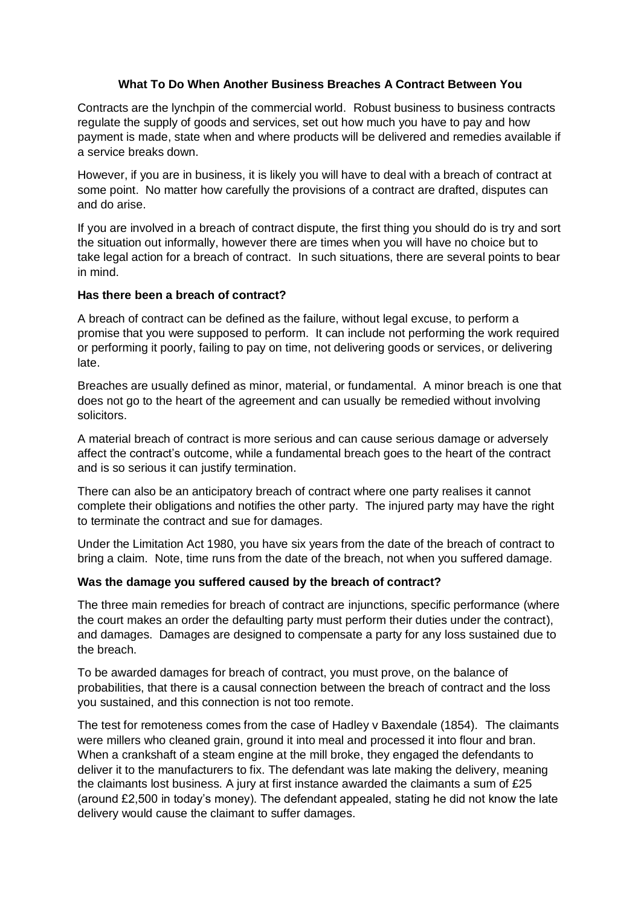## **What To Do When Another Business Breaches A Contract Between You**

Contracts are the lynchpin of the commercial world. Robust business to business contracts regulate the supply of goods and services, set out how much you have to pay and how payment is made, state when and where products will be delivered and remedies available if a service breaks down.

However, if you are in business, it is likely you will have to deal with a breach of contract at some point. No matter how carefully the provisions of a contract are drafted, disputes can and do arise.

If you are involved in a breach of contract dispute, the first thing you should do is try and sort the situation out informally, however there are times when you will have no choice but to take legal action for a breach of contract. In such situations, there are several points to bear in mind.

## **Has there been a breach of contract?**

A breach of contract can be defined as the failure, without legal excuse, to perform a promise that you were supposed to perform. It can include not performing the work required or performing it poorly, failing to pay on time, not delivering goods or services, or delivering late.

Breaches are usually defined as minor, material, or fundamental. A minor breach is one that does not go to the heart of the agreement and can usually be remedied without involving solicitors.

A material breach of contract is more serious and can cause serious damage or adversely affect the contract's outcome, while a fundamental breach goes to the heart of the contract and is so serious it can justify termination.

There can also be an anticipatory breach of contract where one party realises it cannot complete their obligations and notifies the other party. The injured party may have the right to terminate the contract and sue for damages.

Under the Limitation Act 1980, you have six years from the date of the breach of contract to bring a claim. Note, time runs from the date of the breach, not when you suffered damage.

## **Was the damage you suffered caused by the breach of contract?**

The three main remedies for breach of contract are injunctions, specific performance (where the court makes an order the defaulting party must perform their duties under the contract), and damages. Damages are designed to compensate a party for any loss sustained due to the breach.

To be awarded damages for breach of contract, you must prove, on the balance of probabilities, that there is a causal connection between the breach of contract and the loss you sustained, and this connection is not too remote.

The test for remoteness comes from the case of Hadley v Baxendale (1854). The claimants were millers who cleaned grain, ground it into meal and processed it into flour and bran. When a crankshaft of a steam engine at the mill broke, they engaged the defendants to deliver it to the manufacturers to fix. The defendant was late making the delivery, meaning the claimants lost business. A jury at first instance awarded the claimants a sum of £25 (around £2,500 in today's money). The defendant appealed, stating he did not know the late delivery would cause the claimant to suffer damages.